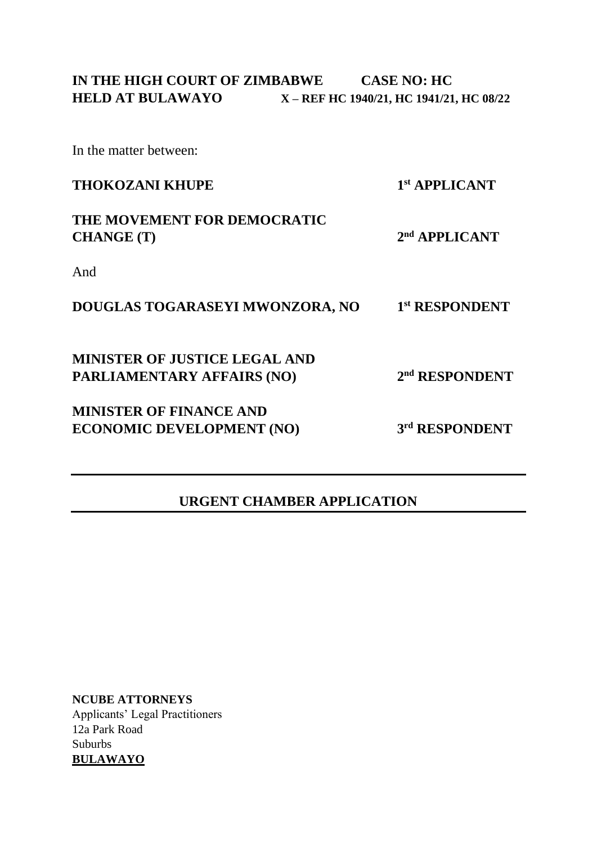In the matter between:

| <b>THOKOZANI KHUPE</b>                           | 1st APPLICANT              |
|--------------------------------------------------|----------------------------|
| THE MOVEMENT FOR DEMOCRATIC<br><b>CHANGE</b> (T) | $2nd$ APPLICANT            |
| And                                              |                            |
| DOUGLAS TOGARASEYI MWONZORA, NO                  | 1st RESPONDENT             |
| <b>MINISTER OF JUSTICE LEGAL AND</b>             |                            |
| <b>PARLIAMENTARY AFFAIRS (NO)</b>                | 2 <sup>nd</sup> RESPONDENT |
| <b>MINISTER OF FINANCE AND</b>                   |                            |
| <b>ECONOMIC DEVELOPMENT (NO)</b>                 | 3rd RESPONDENT             |
|                                                  |                            |

## **URGENT CHAMBER APPLICATION**

**NCUBE ATTORNEYS** Applicants' Legal Practitioners 12a Park Road Suburbs **BULAWAYO**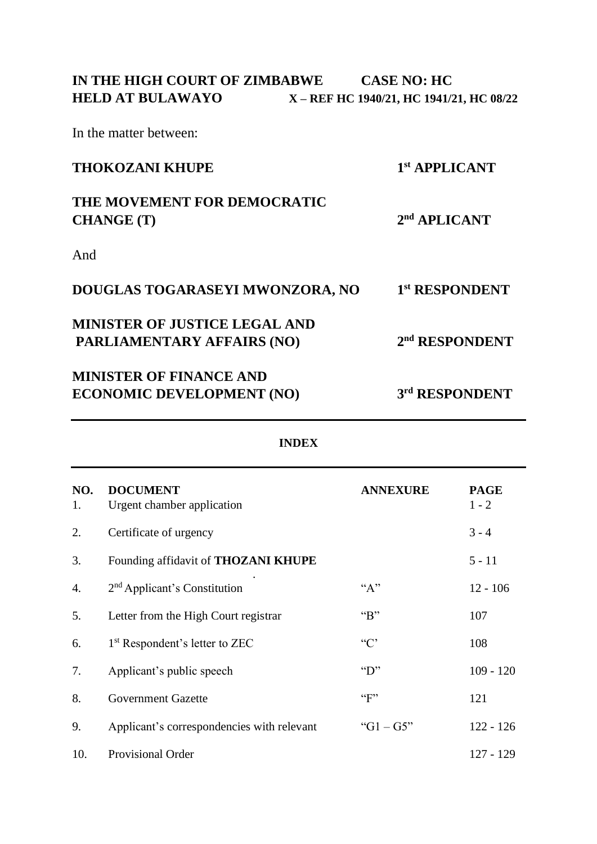In the matter between:

| <b>THOKOZANI KHUPE</b>                           | 1st APPLICANT              |  |
|--------------------------------------------------|----------------------------|--|
| THE MOVEMENT FOR DEMOCRATIC<br><b>CHANGE</b> (T) | $2nd$ APLICANT             |  |
| And                                              |                            |  |
| DOUGLAS TOGARASEYI MWONZORA, NO                  | 1st RESPONDENT             |  |
| <b>MINISTER OF JUSTICE LEGAL AND</b>             |                            |  |
| <b>PARLIAMENTARY AFFAIRS (NO)</b>                | 2 <sup>nd</sup> RESPONDENT |  |
| <b>MINISTER OF FINANCE AND</b>                   |                            |  |
| <b>ECONOMIC DEVELOPMENT (NO)</b>                 | 3rd RESPONDENT             |  |

| NO.<br>1. | <b>DOCUMENT</b><br>Urgent chamber application | <b>ANNEXURE</b>  | <b>PAGE</b><br>$1 - 2$ |
|-----------|-----------------------------------------------|------------------|------------------------|
|           |                                               |                  |                        |
| 2.        | Certificate of urgency                        |                  | $3 - 4$                |
| 3.        | Founding affidavit of <b>THOZANI KHUPE</b>    |                  | $5 - 11$               |
| 4.        | $2nd$ Applicant's Constitution                | $A$ "            | $12 - 106$             |
| 5.        | Letter from the High Court registrar          | $B$ "            | 107                    |
| 6.        | 1 <sup>st</sup> Respondent's letter to ZEC    | C                | 108                    |
| 7.        | Applicant's public speech                     | $\mathbf{``D''}$ | $109 - 120$            |
| 8.        | <b>Government Gazette</b>                     | $~^{G}$ F"       | 121                    |
| 9.        | Applicant's correspondencies with relevant    | " $G1 - G5$ "    | $122 - 126$            |
| 10.       | Provisional Order                             |                  | $127 - 129$            |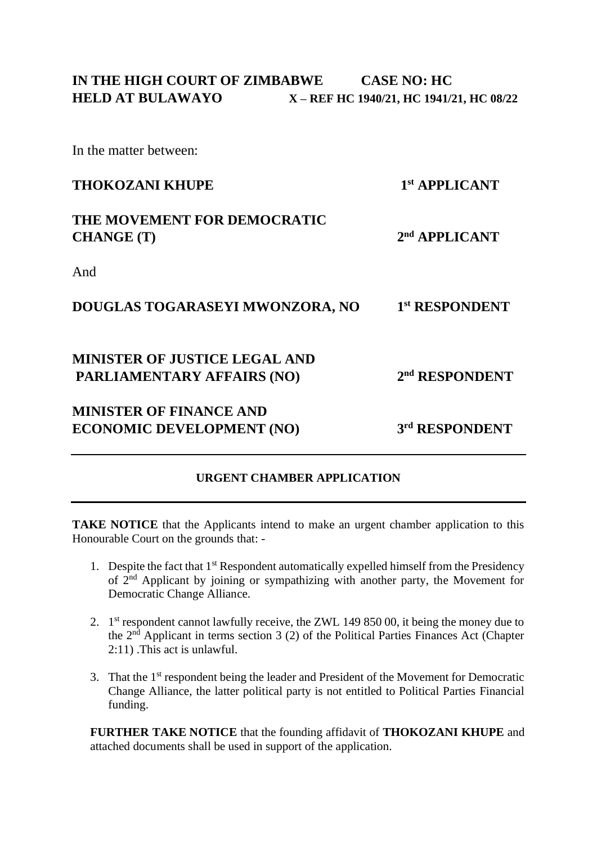In the matter between:

| <b>THOKOZANI KHUPE</b>                           | 1st APPLICANT              |
|--------------------------------------------------|----------------------------|
| THE MOVEMENT FOR DEMOCRATIC<br><b>CHANGE</b> (T) | 2 <sup>nd</sup> APPLICANT  |
| And                                              |                            |
| DOUGLAS TOGARASEYI MWONZORA, NO                  | 1st RESPONDENT             |
| <b>MINISTER OF JUSTICE LEGAL AND</b>             |                            |
| <b>PARLIAMENTARY AFFAIRS (NO)</b>                | 2 <sup>nd</sup> RESPONDENT |
| <b>MINISTER OF FINANCE AND</b>                   |                            |
| <b>ECONOMIC DEVELOPMENT (NO)</b>                 | 3rd RESPONDENT             |
|                                                  |                            |

## **URGENT CHAMBER APPLICATION**

**TAKE NOTICE** that the Applicants intend to make an urgent chamber application to this Honourable Court on the grounds that: -

- 1. Despite the fact that  $1<sup>st</sup>$  Respondent automatically expelled himself from the Presidency of 2nd Applicant by joining or sympathizing with another party, the Movement for Democratic Change Alliance.
- 2. 1<sup>st</sup> respondent cannot lawfully receive, the ZWL 149 850 00, it being the money due to the 2nd Applicant in terms section 3 (2) of the Political Parties Finances Act (Chapter 2:11) .This act is unlawful.
- 3. That the 1st respondent being the leader and President of the Movement for Democratic Change Alliance, the latter political party is not entitled to Political Parties Financial funding.

**FURTHER TAKE NOTICE** that the founding affidavit of **THOKOZANI KHUPE** and attached documents shall be used in support of the application.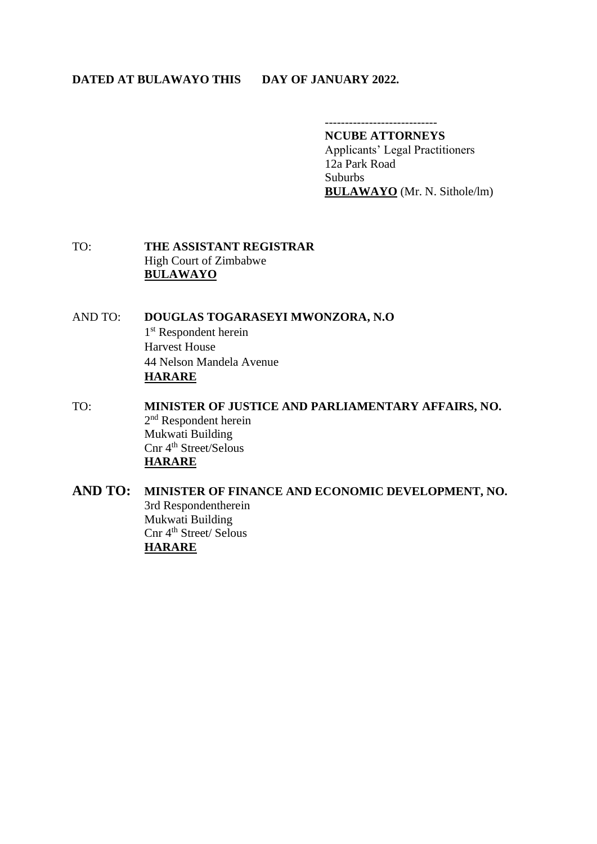#### **DATED AT BULAWAYO THIS DAY OF JANUARY 2022.**

### **NCUBE ATTORNEYS**

Applicants' Legal Practitioners 12a Park Road **Suburbs BULAWAYO** (Mr. N. Sithole/lm)

TO: **THE ASSISTANT REGISTRAR** High Court of Zimbabwe **BULAWAYO**

AND TO: **DOUGLAS TOGARASEYI MWONZORA, N.O** 1<sup>st</sup> Respondent herein Harvest House 44 Nelson Mandela Avenue **HARARE**

TO: **MINISTER OF JUSTICE AND PARLIAMENTARY AFFAIRS, NO.** 2<sup>nd</sup> Respondent herein Mukwati Building Cnr 4<sup>th</sup> Street/Selous **HARARE**

**AND TO: MINISTER OF FINANCE AND ECONOMIC DEVELOPMENT, NO.** 3rd Respondentherein Mukwati Building Cnr 4<sup>th</sup> Street/ Selous **HARARE**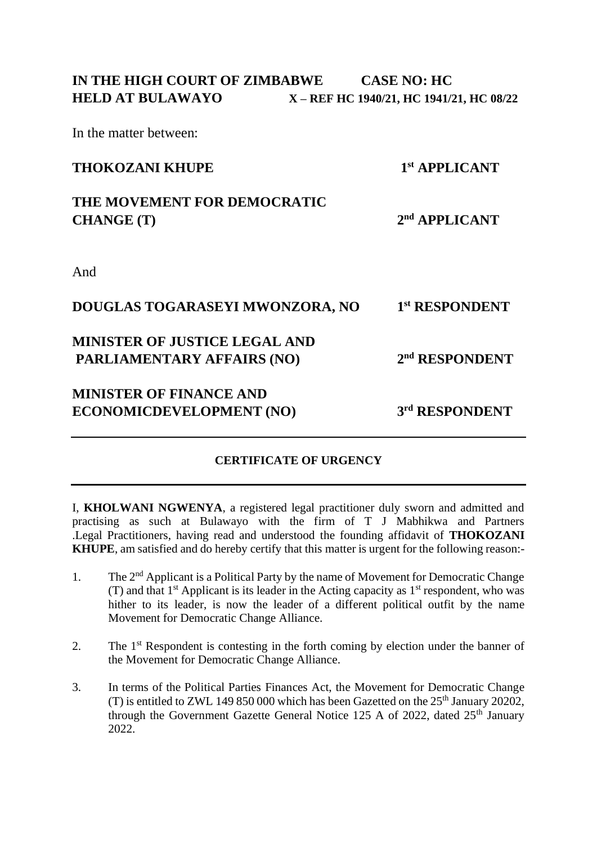In the matter between:

| <b>THOKOZANI KHUPE</b>               | 1 <sup>st</sup> APPLICANT  |
|--------------------------------------|----------------------------|
| THE MOVEMENT FOR DEMOCRATIC          |                            |
| <b>CHANGE</b> (T)                    | 2 <sup>nd</sup> APPLICANT  |
| And                                  |                            |
|                                      |                            |
| DOUGLAS TOGARASEYI MWONZORA, NO      | 1st RESPONDENT             |
| <b>MINISTER OF JUSTICE LEGAL AND</b> |                            |
| <b>PARLIAMENTARY AFFAIRS (NO)</b>    | 2 <sup>nd</sup> RESPONDENT |
| <b>MINISTER OF FINANCE AND</b>       |                            |
| <b>ECONOMICDEVELOPMENT (NO)</b>      | 3rd RESPONDENT             |
|                                      |                            |

## **CERTIFICATE OF URGENCY**

I, **KHOLWANI NGWENYA**, a registered legal practitioner duly sworn and admitted and practising as such at Bulawayo with the firm of T J Mabhikwa and Partners .Legal Practitioners, having read and understood the founding affidavit of **THOKOZANI KHUPE**, am satisfied and do hereby certify that this matter is urgent for the following reason:-

- 1. The 2<sup>nd</sup> Applicant is a Political Party by the name of Movement for Democratic Change (T) and that  $1^{st}$  Applicant is its leader in the Acting capacity as  $1^{st}$  respondent, who was hither to its leader, is now the leader of a different political outfit by the name Movement for Democratic Change Alliance.
- 2. The 1<sup>st</sup> Respondent is contesting in the forth coming by election under the banner of the Movement for Democratic Change Alliance.
- 3. In terms of the Political Parties Finances Act, the Movement for Democratic Change (T) is entitled to ZWL 149 850 000 which has been Gazetted on the  $25<sup>th</sup>$  January 20202, through the Government Gazette General Notice 125 A of 2022, dated  $25<sup>th</sup>$  January 2022.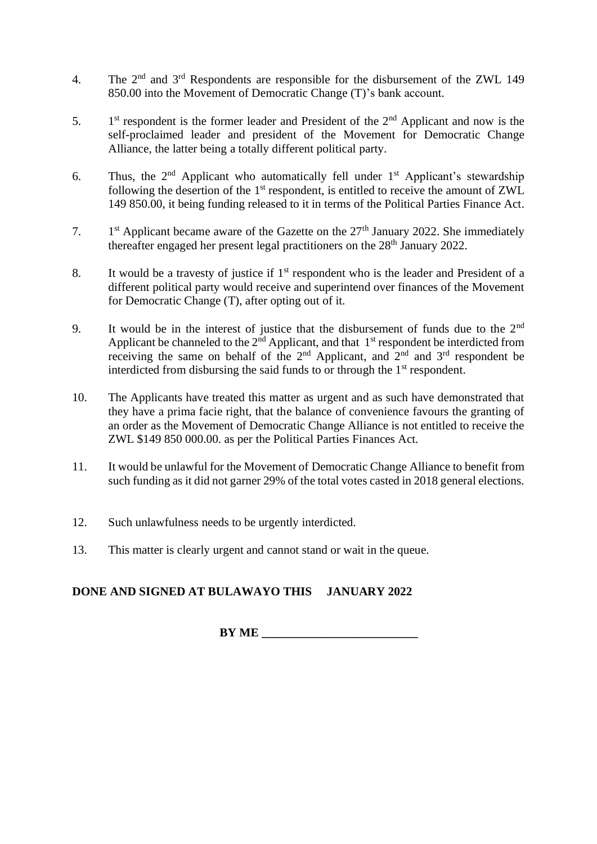- 4. The 2nd and 3rd Respondents are responsible for the disbursement of the ZWL 149 850.00 into the Movement of Democratic Change (T)'s bank account.
- 5.  $1<sup>st</sup>$  respondent is the former leader and President of the  $2<sup>nd</sup>$  Applicant and now is the self-proclaimed leader and president of the Movement for Democratic Change Alliance, the latter being a totally different political party.
- 6. Thus, the  $2<sup>nd</sup>$  Applicant who automatically fell under  $1<sup>st</sup>$  Applicant's stewardship following the desertion of the  $1<sup>st</sup>$  respondent, is entitled to receive the amount of ZWL 149 850.00, it being funding released to it in terms of the Political Parties Finance Act.
- 7.  $1<sup>st</sup>$  Applicant became aware of the Gazette on the  $27<sup>th</sup>$  January 2022. She immediately thereafter engaged her present legal practitioners on the 28<sup>th</sup> January 2022.
- 8. It would be a travesty of justice if  $1<sup>st</sup>$  respondent who is the leader and President of a different political party would receive and superintend over finances of the Movement for Democratic Change (T), after opting out of it.
- 9. It would be in the interest of justice that the disbursement of funds due to the  $2<sup>nd</sup>$ Applicant be channeled to the  $2<sup>nd</sup>$  Applicant, and that  $1<sup>st</sup>$  respondent be interdicted from receiving the same on behalf of the  $2<sup>nd</sup>$  Applicant, and  $2<sup>nd</sup>$  and  $3<sup>rd</sup>$  respondent be interdicted from disbursing the said funds to or through the 1<sup>st</sup> respondent.
- 10. The Applicants have treated this matter as urgent and as such have demonstrated that they have a prima facie right, that the balance of convenience favours the granting of an order as the Movement of Democratic Change Alliance is not entitled to receive the ZWL \$149 850 000.00. as per the Political Parties Finances Act.
- 11. It would be unlawful for the Movement of Democratic Change Alliance to benefit from such funding as it did not garner 29% of the total votes casted in 2018 general elections.
- 12. Such unlawfulness needs to be urgently interdicted.
- 13. This matter is clearly urgent and cannot stand or wait in the queue.

## **DONE AND SIGNED AT BULAWAYO THIS JANUARY 2022**

**BY ME**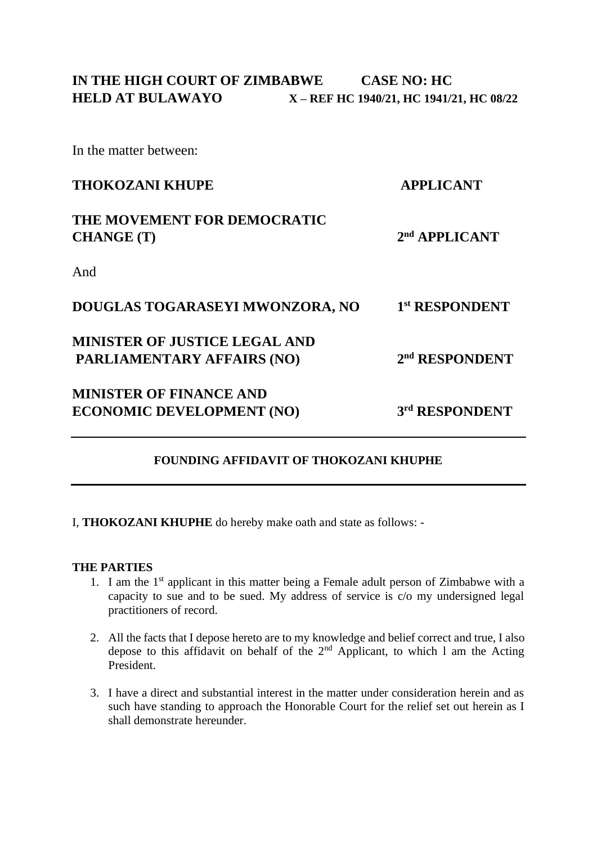In the matter between:

| <b>THOKOZANI KHUPE</b>                           | <b>APPLICANT</b>           |  |
|--------------------------------------------------|----------------------------|--|
| THE MOVEMENT FOR DEMOCRATIC<br><b>CHANGE</b> (T) | $2nd$ APPLICANT            |  |
| And                                              |                            |  |
| DOUGLAS TOGARASEYI MWONZORA, NO                  | 1st RESPONDENT             |  |
| <b>MINISTER OF JUSTICE LEGAL AND</b>             |                            |  |
| PARLIAMENTARY AFFAIRS (NO)                       | 2 <sup>nd</sup> RESPONDENT |  |
| <b>MINISTER OF FINANCE AND</b>                   |                            |  |
| <b>ECONOMIC DEVELOPMENT (NO)</b>                 | 3rd RESPONDENT             |  |
|                                                  |                            |  |

## **FOUNDING AFFIDAVIT OF THOKOZANI KHUPHE**

I, **THOKOZANI KHUPHE** do hereby make oath and state as follows: -

#### **THE PARTIES**

- 1. I am the  $1<sup>st</sup>$  applicant in this matter being a Female adult person of Zimbabwe with a capacity to sue and to be sued. My address of service is c/o my undersigned legal practitioners of record.
- 2. All the facts that I depose hereto are to my knowledge and belief correct and true, I also depose to this affidavit on behalf of the  $2<sup>nd</sup>$  Applicant, to which 1 am the Acting President.
- 3. I have a direct and substantial interest in the matter under consideration herein and as such have standing to approach the Honorable Court for the relief set out herein as I shall demonstrate hereunder.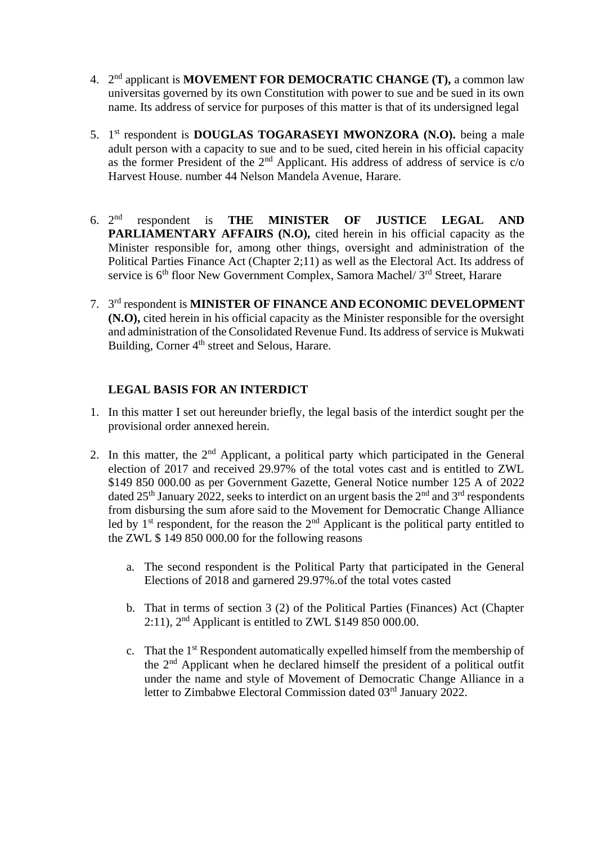- 4. 2 nd applicant is **MOVEMENT FOR DEMOCRATIC CHANGE (T),** a common law universitas governed by its own Constitution with power to sue and be sued in its own name. Its address of service for purposes of this matter is that of its undersigned legal
- 5. 1 st respondent is **DOUGLAS TOGARASEYI MWONZORA (N.O).** being a male adult person with a capacity to sue and to be sued, cited herein in his official capacity as the former President of the 2<sup>nd</sup> Applicant. His address of address of service is c/o Harvest House. number 44 Nelson Mandela Avenue, Harare.
- 6.  $2^{nd}$ respondent is **THE MINISTER OF JUSTICE LEGAL AND PARLIAMENTARY AFFAIRS (N.O), cited herein in his official capacity as the** Minister responsible for, among other things, oversight and administration of the Political Parties Finance Act (Chapter 2;11) as well as the Electoral Act. Its address of service is 6<sup>th</sup> floor New Government Complex, Samora Machel/ 3<sup>rd</sup> Street, Harare
- 7. 3 rd respondent is **MINISTER OF FINANCE AND ECONOMIC DEVELOPMENT (N.O),** cited herein in his official capacity as the Minister responsible for the oversight and administration of the Consolidated Revenue Fund. Its address of service is Mukwati Building, Corner 4<sup>th</sup> street and Selous, Harare.

#### **LEGAL BASIS FOR AN INTERDICT**

- 1. In this matter I set out hereunder briefly, the legal basis of the interdict sought per the provisional order annexed herein.
- 2. In this matter, the  $2<sup>nd</sup>$  Applicant, a political party which participated in the General election of 2017 and received 29.97% of the total votes cast and is entitled to ZWL \$149 850 000.00 as per Government Gazette, General Notice number 125 A of 2022 dated 25<sup>th</sup> January 2022, seeks to interdict on an urgent basis the  $2<sup>nd</sup>$  and  $3<sup>rd</sup>$  respondents from disbursing the sum afore said to the Movement for Democratic Change Alliance led by  $1<sup>st</sup>$  respondent, for the reason the  $2<sup>nd</sup>$  Applicant is the political party entitled to the ZWL \$ 149 850 000.00 for the following reasons
	- a. The second respondent is the Political Party that participated in the General Elections of 2018 and garnered 29.97%.of the total votes casted
	- b. That in terms of section 3 (2) of the Political Parties (Finances) Act (Chapter 2:11),  $2<sup>nd</sup>$  Applicant is entitled to ZWL \$149 850 000.00.
	- c. That the 1st Respondent automatically expelled himself from the membership of the 2nd Applicant when he declared himself the president of a political outfit under the name and style of Movement of Democratic Change Alliance in a letter to Zimbabwe Electoral Commission dated 03<sup>rd</sup> January 2022.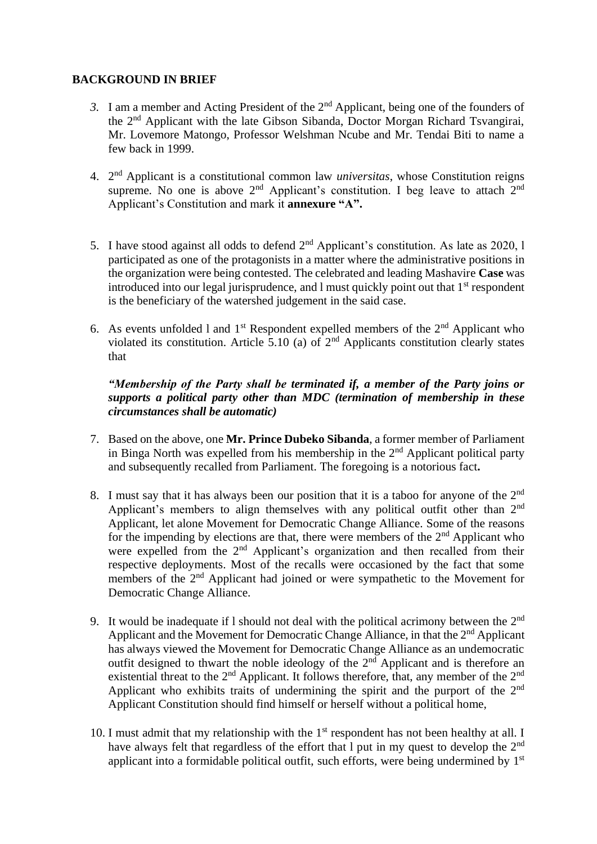#### **BACKGROUND IN BRIEF**

- *3.* I am a member and Acting President of the 2nd Applicant, being one of the founders of the 2nd Applicant with the late Gibson Sibanda, Doctor Morgan Richard Tsvangirai, Mr. Lovemore Matongo, Professor Welshman Ncube and Mr. Tendai Biti to name a few back in 1999.
- 4. 2 nd Applicant is a constitutional common law *universitas*, whose Constitution reigns supreme. No one is above  $2<sup>nd</sup>$  Applicant's constitution. I beg leave to attach  $2<sup>nd</sup>$ Applicant's Constitution and mark it **annexure "A".**
- 5. I have stood against all odds to defend  $2<sup>nd</sup>$  Applicant's constitution. As late as 2020, 1 participated as one of the protagonists in a matter where the administrative positions in the organization were being contested. The celebrated and leading Mashavire **Case** was introduced into our legal jurisprudence, and  $l$  must quickly point out that  $1<sup>st</sup>$  respondent is the beneficiary of the watershed judgement in the said case.
- 6. As events unfolded 1 and  $1<sup>st</sup>$  Respondent expelled members of the  $2<sup>nd</sup>$  Applicant who violated its constitution. Article 5.10 (a) of  $2<sup>nd</sup>$  Applicants constitution clearly states that

### *"Membership of the Party shall be terminated if, a member of the Party joins or supports a political party other than MDC (termination of membership in these circumstances shall be automatic)*

- 7. Based on the above, one **Mr. Prince Dubeko Sibanda**, a former member of Parliament in Binga North was expelled from his membership in the  $2<sup>nd</sup>$  Applicant political party and subsequently recalled from Parliament. The foregoing is a notorious fact**.**
- 8. I must say that it has always been our position that it is a taboo for anyone of the 2<sup>nd</sup> Applicant's members to align themselves with any political outfit other than 2<sup>nd</sup> Applicant, let alone Movement for Democratic Change Alliance. Some of the reasons for the impending by elections are that, there were members of the  $2<sup>nd</sup>$  Applicant who were expelled from the 2<sup>nd</sup> Applicant's organization and then recalled from their respective deployments. Most of the recalls were occasioned by the fact that some members of the 2nd Applicant had joined or were sympathetic to the Movement for Democratic Change Alliance.
- 9. It would be inadequate if 1 should not deal with the political acrimony between the  $2<sup>nd</sup>$ Applicant and the Movement for Democratic Change Alliance, in that the 2<sup>nd</sup> Applicant has always viewed the Movement for Democratic Change Alliance as an undemocratic outfit designed to thwart the noble ideology of the  $2<sup>nd</sup>$  Applicant and is therefore an existential threat to the  $2<sup>nd</sup>$  Applicant. It follows therefore, that, any member of the  $2<sup>nd</sup>$ Applicant who exhibits traits of undermining the spirit and the purport of the 2nd Applicant Constitution should find himself or herself without a political home,
- 10. I must admit that my relationship with the  $1<sup>st</sup>$  respondent has not been healthy at all. I have always felt that regardless of the effort that l put in my quest to develop the 2<sup>nd</sup> applicant into a formidable political outfit, such efforts, were being undermined by 1<sup>st</sup>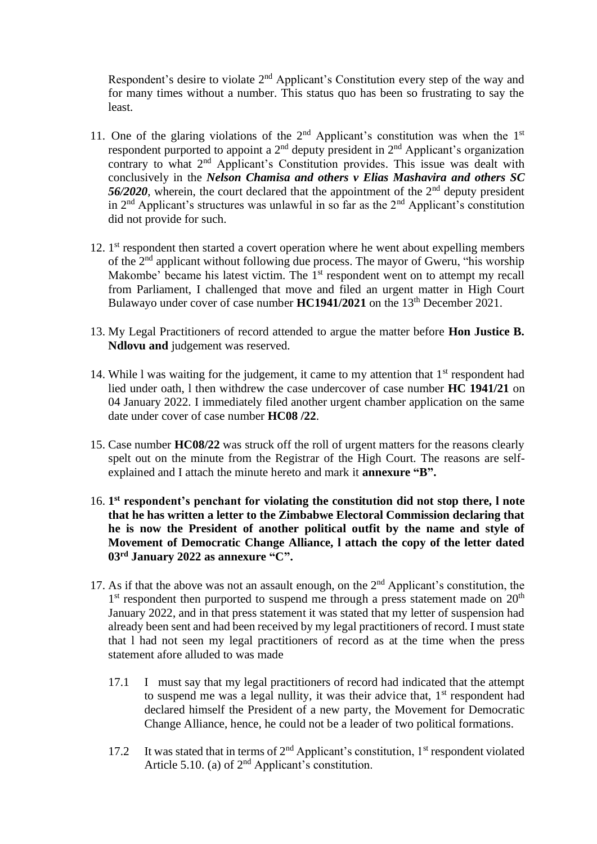Respondent's desire to violate 2<sup>nd</sup> Applicant's Constitution every step of the way and for many times without a number. This status quo has been so frustrating to say the least.

- 11. One of the glaring violations of the  $2<sup>nd</sup>$  Applicant's constitution was when the  $1<sup>st</sup>$ respondent purported to appoint a  $2<sup>nd</sup>$  deputy president in  $2<sup>nd</sup>$  Applicant's organization contrary to what 2<sup>nd</sup> Applicant's Constitution provides. This issue was dealt with conclusively in the *Nelson Chamisa and others v Elias Mashavira and others SC*  56/2020, wherein, the court declared that the appointment of the 2<sup>nd</sup> deputy president in  $2<sup>nd</sup>$  Applicant's structures was unlawful in so far as the  $2<sup>nd</sup>$  Applicant's constitution did not provide for such.
- 12. 1<sup>st</sup> respondent then started a covert operation where he went about expelling members of the 2nd applicant without following due process. The mayor of Gweru, "his worship Makombe' became his latest victim. The  $1<sup>st</sup>$  respondent went on to attempt my recall from Parliament, I challenged that move and filed an urgent matter in High Court Bulawayo under cover of case number **HC1941/2021** on the 13th December 2021.
- 13. My Legal Practitioners of record attended to argue the matter before **Hon Justice B. Ndlovu and** judgement was reserved.
- 14. While I was waiting for the judgement, it came to my attention that  $1<sup>st</sup>$  respondent had lied under oath, l then withdrew the case undercover of case number **HC 1941/21** on 04 January 2022. I immediately filed another urgent chamber application on the same date under cover of case number **HC08 /22**.
- 15. Case number **HC08/22** was struck off the roll of urgent matters for the reasons clearly spelt out on the minute from the Registrar of the High Court. The reasons are selfexplained and I attach the minute hereto and mark it **annexure "B".**
- 16. **1 st respondent's penchant for violating the constitution did not stop there, l note that he has written a letter to the Zimbabwe Electoral Commission declaring that he is now the President of another political outfit by the name and style of Movement of Democratic Change Alliance, l attach the copy of the letter dated 03rd January 2022 as annexure "C".**
- 17. As if that the above was not an assault enough, on the  $2<sup>nd</sup>$  Applicant's constitution, the 1<sup>st</sup> respondent then purported to suspend me through a press statement made on 20<sup>th</sup> January 2022, and in that press statement it was stated that my letter of suspension had already been sent and had been received by my legal practitioners of record. I must state that l had not seen my legal practitioners of record as at the time when the press statement afore alluded to was made
	- 17.1 I must say that my legal practitioners of record had indicated that the attempt to suspend me was a legal nullity, it was their advice that,  $1<sup>st</sup>$  respondent had declared himself the President of a new party, the Movement for Democratic Change Alliance, hence, he could not be a leader of two political formations.
	- 17.2 It was stated that in terms of  $2<sup>nd</sup>$  Applicant's constitution,  $1<sup>st</sup>$  respondent violated Article 5.10. (a) of  $2<sup>nd</sup>$  Applicant's constitution.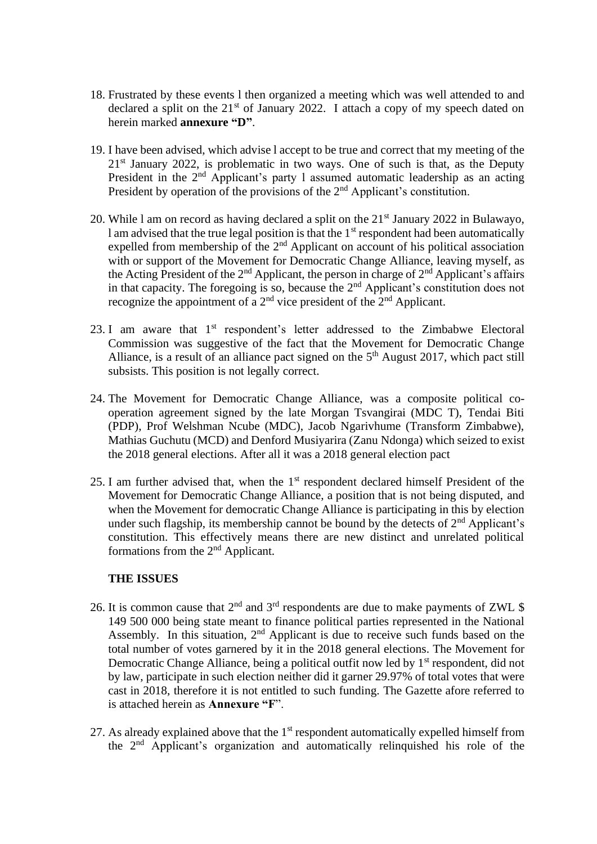- 18. Frustrated by these events l then organized a meeting which was well attended to and declared a split on the  $21<sup>st</sup>$  of January 2022. I attach a copy of my speech dated on herein marked **annexure "D"**.
- 19. I have been advised, which advise l accept to be true and correct that my meeting of the  $21<sup>st</sup>$  January 2022, is problematic in two ways. One of such is that, as the Deputy President in the 2<sup>nd</sup> Applicant's party 1 assumed automatic leadership as an acting President by operation of the provisions of the 2<sup>nd</sup> Applicant's constitution.
- 20. While 1 am on record as having declared a split on the  $21<sup>st</sup>$  January 2022 in Bulawayo, l am advised that the true legal position is that the  $1<sup>st</sup>$  respondent had been automatically expelled from membership of the 2nd Applicant on account of his political association with or support of the Movement for Democratic Change Alliance, leaving myself, as the Acting President of the  $2<sup>nd</sup>$  Applicant, the person in charge of  $2<sup>nd</sup>$  Applicant's affairs in that capacity. The foregoing is so, because the  $2<sup>nd</sup>$  Applicant's constitution does not recognize the appointment of a  $2<sup>nd</sup>$  vice president of the  $2<sup>nd</sup>$  Applicant.
- 23. I am aware that  $1<sup>st</sup>$  respondent's letter addressed to the Zimbabwe Electoral Commission was suggestive of the fact that the Movement for Democratic Change Alliance, is a result of an alliance pact signed on the  $5<sup>th</sup>$  August 2017, which pact still subsists. This position is not legally correct.
- 24. The Movement for Democratic Change Alliance, was a composite political cooperation agreement signed by the late Morgan Tsvangirai (MDC T), Tendai Biti (PDP), Prof Welshman Ncube (MDC), Jacob Ngarivhume (Transform Zimbabwe), Mathias Guchutu (MCD) and Denford Musiyarira (Zanu Ndonga) which seized to exist the 2018 general elections. After all it was a 2018 general election pact
- 25. I am further advised that, when the  $1<sup>st</sup>$  respondent declared himself President of the Movement for Democratic Change Alliance, a position that is not being disputed, and when the Movement for democratic Change Alliance is participating in this by election under such flagship, its membership cannot be bound by the detects of  $2<sup>nd</sup>$  Applicant's constitution. This effectively means there are new distinct and unrelated political formations from the 2nd Applicant.

#### **THE ISSUES**

- 26. It is common cause that  $2<sup>nd</sup>$  and  $3<sup>rd</sup>$  respondents are due to make payments of ZWL \$ 149 500 000 being state meant to finance political parties represented in the National Assembly. In this situation, 2<sup>nd</sup> Applicant is due to receive such funds based on the total number of votes garnered by it in the 2018 general elections. The Movement for Democratic Change Alliance, being a political outfit now led by 1<sup>st</sup> respondent, did not by law, participate in such election neither did it garner 29.97% of total votes that were cast in 2018, therefore it is not entitled to such funding. The Gazette afore referred to is attached herein as **Annexure "F**".
- 27. As already explained above that the  $1<sup>st</sup>$  respondent automatically expelled himself from the 2nd Applicant's organization and automatically relinquished his role of the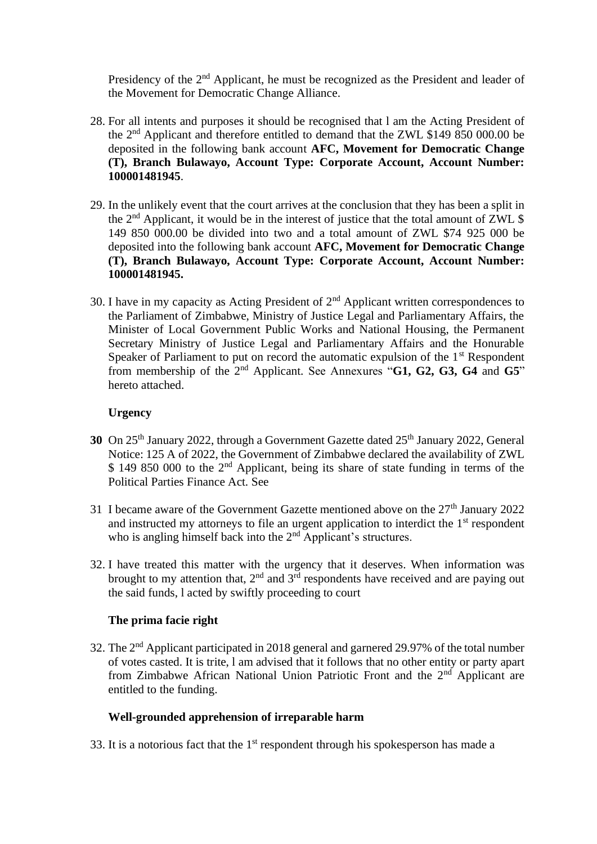Presidency of the 2<sup>nd</sup> Applicant, he must be recognized as the President and leader of the Movement for Democratic Change Alliance.

- 28. For all intents and purposes it should be recognised that l am the Acting President of the 2nd Applicant and therefore entitled to demand that the ZWL \$149 850 000.00 be deposited in the following bank account **AFC, Movement for Democratic Change (T), Branch Bulawayo, Account Type: Corporate Account, Account Number: 100001481945**.
- 29. In the unlikely event that the court arrives at the conclusion that they has been a split in the  $2<sup>nd</sup>$  Applicant, it would be in the interest of justice that the total amount of ZWL \$ 149 850 000.00 be divided into two and a total amount of ZWL \$74 925 000 be deposited into the following bank account **AFC, Movement for Democratic Change (T), Branch Bulawayo, Account Type: Corporate Account, Account Number: 100001481945.**
- 30. I have in my capacity as Acting President of  $2<sup>nd</sup>$  Applicant written correspondences to the Parliament of Zimbabwe, Ministry of Justice Legal and Parliamentary Affairs, the Minister of Local Government Public Works and National Housing, the Permanent Secretary Ministry of Justice Legal and Parliamentary Affairs and the Honurable Speaker of Parliament to put on record the automatic expulsion of the 1<sup>st</sup> Respondent from membership of the 2nd Applicant. See Annexures "**G1, G2, G3, G4** and **G5**" hereto attached.

#### **Urgency**

- **30** On 25<sup>th</sup> January 2022, through a Government Gazette dated 25<sup>th</sup> January 2022, General Notice: 125 A of 2022, the Government of Zimbabwe declared the availability of ZWL \$ 149 850 000 to the 2<sup>nd</sup> Applicant, being its share of state funding in terms of the Political Parties Finance Act. See
- 31 I became aware of the Government Gazette mentioned above on the  $27<sup>th</sup>$  January 2022 and instructed my attorneys to file an urgent application to interdict the  $1<sup>st</sup>$  respondent who is angling himself back into the 2<sup>nd</sup> Applicant's structures.
- 32. I have treated this matter with the urgency that it deserves. When information was brought to my attention that,  $2<sup>nd</sup>$  and  $3<sup>rd</sup>$  respondents have received and are paying out the said funds, l acted by swiftly proceeding to court

#### **The prima facie right**

32. The 2nd Applicant participated in 2018 general and garnered 29.97% of the total number of votes casted. It is trite, l am advised that it follows that no other entity or party apart from Zimbabwe African National Union Patriotic Front and the 2<sup>nd</sup> Applicant are entitled to the funding.

### **Well-grounded apprehension of irreparable harm**

33. It is a notorious fact that the  $1<sup>st</sup>$  respondent through his spokesperson has made a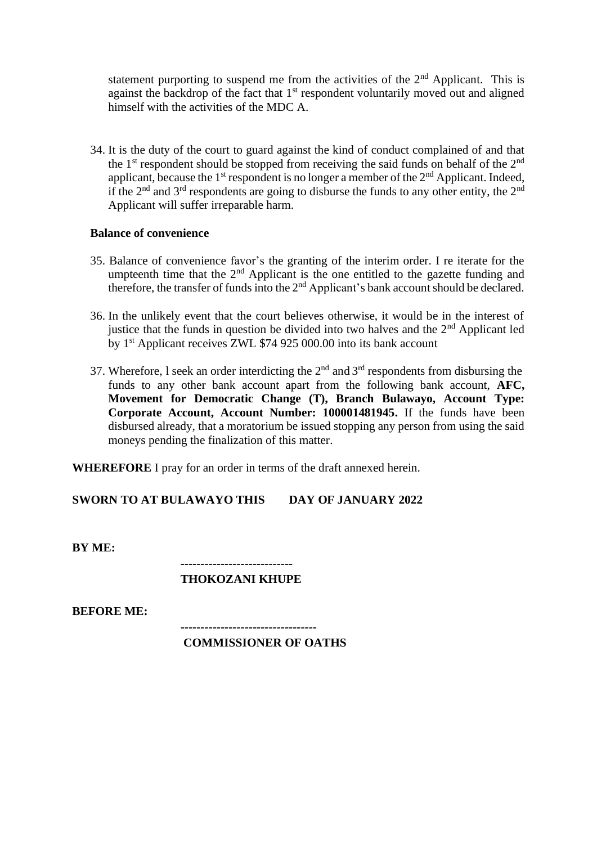statement purporting to suspend me from the activities of the  $2<sup>nd</sup>$  Applicant. This is against the backdrop of the fact that 1<sup>st</sup> respondent voluntarily moved out and aligned himself with the activities of the MDC A.

34. It is the duty of the court to guard against the kind of conduct complained of and that the  $1<sup>st</sup>$  respondent should be stopped from receiving the said funds on behalf of the  $2<sup>nd</sup>$ applicant, because the  $1<sup>st</sup>$  respondent is no longer a member of the  $2<sup>nd</sup>$  Applicant. Indeed, if the  $2<sup>nd</sup>$  and  $3<sup>rd</sup>$  respondents are going to disburse the funds to any other entity, the  $2<sup>nd</sup>$ Applicant will suffer irreparable harm.

#### **Balance of convenience**

- 35. Balance of convenience favor's the granting of the interim order. I re iterate for the umpteenth time that the  $2<sup>nd</sup>$  Applicant is the one entitled to the gazette funding and therefore, the transfer of funds into the  $2<sup>nd</sup>$  Applicant's bank account should be declared.
- 36. In the unlikely event that the court believes otherwise, it would be in the interest of justice that the funds in question be divided into two halves and the  $2<sup>nd</sup>$  Applicant led by 1st Applicant receives ZWL \$74 925 000.00 into its bank account
- 37. Wherefore, 1 seek an order interdicting the  $2<sup>nd</sup>$  and  $3<sup>rd</sup>$  respondents from disbursing the funds to any other bank account apart from the following bank account, **AFC, Movement for Democratic Change (T), Branch Bulawayo, Account Type: Corporate Account, Account Number: 100001481945.** If the funds have been disbursed already, that a moratorium be issued stopping any person from using the said moneys pending the finalization of this matter.

**WHEREFORE** I pray for an order in terms of the draft annexed herein.

**SWORN TO AT BULAWAYO THIS DAY OF JANUARY 2022**

**BY ME:**

#### **---------------------------- THOKOZANI KHUPE**

**BEFORE ME:**

**----------------------------------**

#### **COMMISSIONER OF OATHS**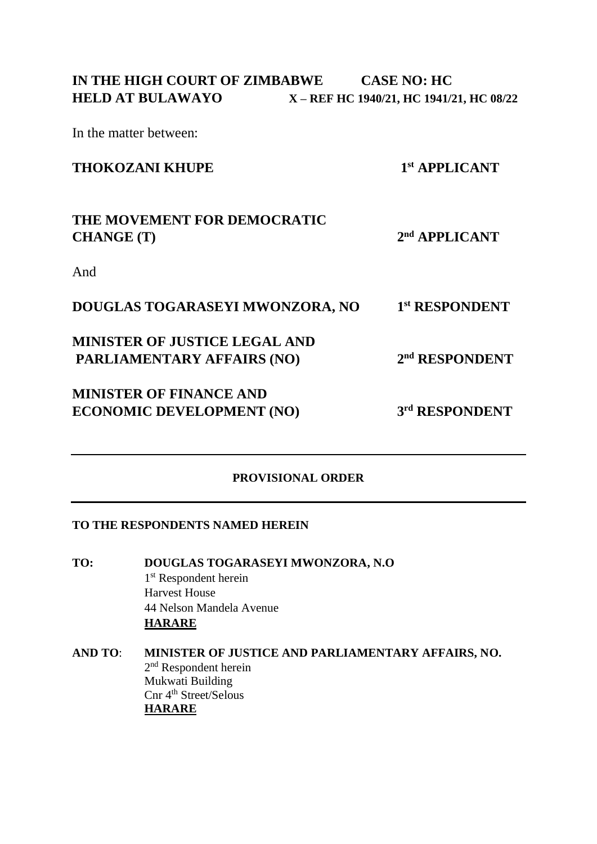In the matter between:

## **THOKOZANI KHUPE 1**

**st APPLICANT**

#### **THE MOVEMENT FOR DEMOCRATIC CHANGE (T) 2 nd APPLICANT**

And

| 1st RESPONDENT<br>DOUGLAS TOGARASEYI MWONZORA, NO |  |
|---------------------------------------------------|--|
|---------------------------------------------------|--|

## **MINISTER OF JUSTICE LEGAL AND PARLIAMENTARY AFFAIRS (NO) 2**

## **MINISTER OF FINANCE AND ECONOMIC DEVELOPMENT (NO)**

**rd RESPONDENT**

**nd RESPONDENT**

### **PROVISIONAL ORDER**

#### **TO THE RESPONDENTS NAMED HEREIN**

- **TO: DOUGLAS TOGARASEYI MWONZORA, N.O** 1<sup>st</sup> Respondent herein Harvest House 44 Nelson Mandela Avenue **HARARE**
- **AND TO**: **MINISTER OF JUSTICE AND PARLIAMENTARY AFFAIRS, NO.** 2<sup>nd</sup> Respondent herein Mukwati Building Cnr 4<sup>th</sup> Street/Selous **HARARE**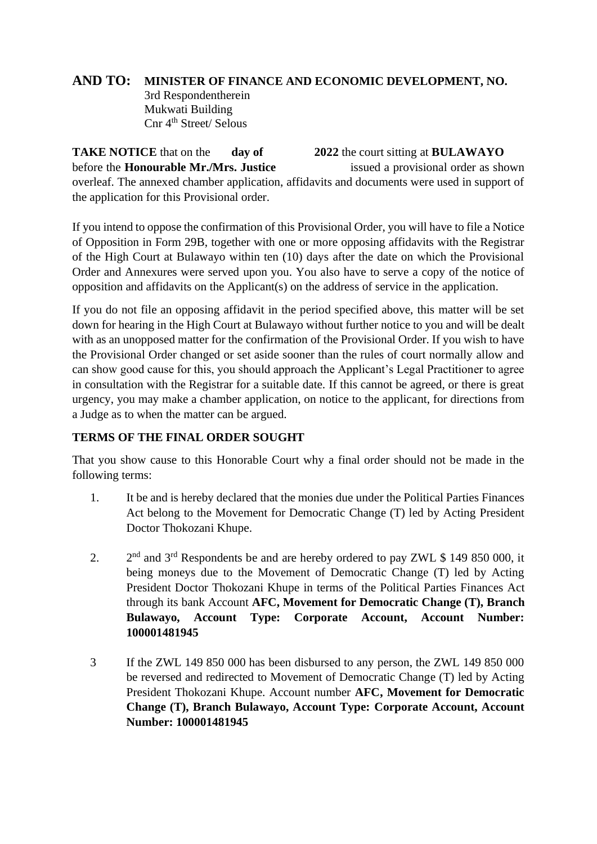# **AND TO: MINISTER OF FINANCE AND ECONOMIC DEVELOPMENT, NO.**

3rd Respondentherein Mukwati Building Cnr 4<sup>th</sup> Street/ Selous

**TAKE NOTICE** that on the **day of 2022** the court sitting at **BULAWAYO** before the **Honourable Mr./Mrs. Justice** issued a provisional order as shown overleaf. The annexed chamber application, affidavits and documents were used in support of the application for this Provisional order.

If you intend to oppose the confirmation of this Provisional Order, you will have to file a Notice of Opposition in Form 29B, together with one or more opposing affidavits with the Registrar of the High Court at Bulawayo within ten (10) days after the date on which the Provisional Order and Annexures were served upon you. You also have to serve a copy of the notice of opposition and affidavits on the Applicant(s) on the address of service in the application.

If you do not file an opposing affidavit in the period specified above, this matter will be set down for hearing in the High Court at Bulawayo without further notice to you and will be dealt with as an unopposed matter for the confirmation of the Provisional Order. If you wish to have the Provisional Order changed or set aside sooner than the rules of court normally allow and can show good cause for this, you should approach the Applicant's Legal Practitioner to agree in consultation with the Registrar for a suitable date. If this cannot be agreed, or there is great urgency, you may make a chamber application, on notice to the applicant, for directions from a Judge as to when the matter can be argued.

## **TERMS OF THE FINAL ORDER SOUGHT**

That you show cause to this Honorable Court why a final order should not be made in the following terms:

- 1. It be and is hereby declared that the monies due under the Political Parties Finances Act belong to the Movement for Democratic Change (T) led by Acting President Doctor Thokozani Khupe.
- $2^{\circ}$  $2<sup>nd</sup>$  and  $3<sup>rd</sup>$  Respondents be and are hereby ordered to pay ZWL \$ 149 850 000, it being moneys due to the Movement of Democratic Change (T) led by Acting President Doctor Thokozani Khupe in terms of the Political Parties Finances Act through its bank Account **AFC, Movement for Democratic Change (T), Branch Bulawayo, Account Type: Corporate Account, Account Number: 100001481945**
- 3 If the ZWL 149 850 000 has been disbursed to any person, the ZWL 149 850 000 be reversed and redirected to Movement of Democratic Change (T) led by Acting President Thokozani Khupe. Account number **AFC, Movement for Democratic Change (T), Branch Bulawayo, Account Type: Corporate Account, Account Number: 100001481945**